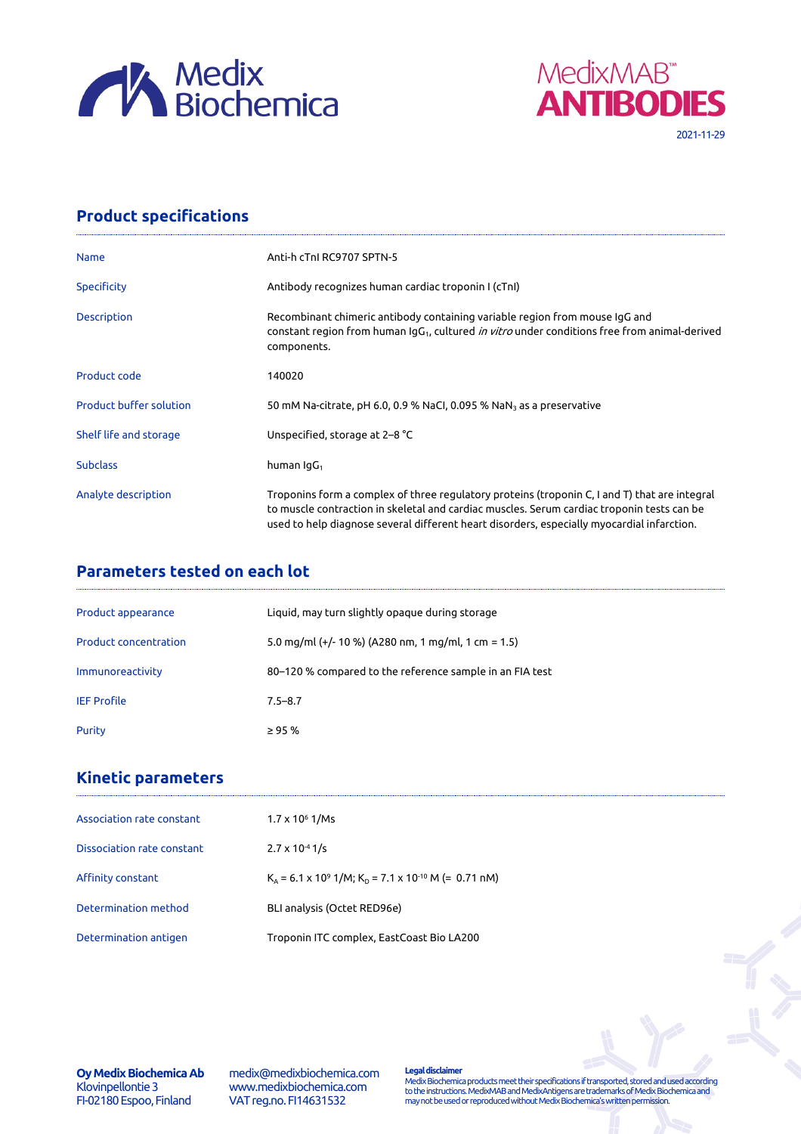



## **Product specifications**

| <b>Name</b>                    | Anti-h cTnl RC9707 SPTN-5                                                                                                                                                                                                                                                                 |
|--------------------------------|-------------------------------------------------------------------------------------------------------------------------------------------------------------------------------------------------------------------------------------------------------------------------------------------|
| <b>Specificity</b>             | Antibody recognizes human cardiac troponin I (cTnI)                                                                                                                                                                                                                                       |
| Description                    | Recombinant chimeric antibody containing variable region from mouse IgG and<br>constant region from human IgG <sub>1</sub> , cultured <i>in vitro</i> under conditions free from animal-derived<br>components.                                                                            |
| Product code                   | 140020                                                                                                                                                                                                                                                                                    |
| <b>Product buffer solution</b> | 50 mM Na-citrate, pH 6.0, 0.9 % NaCl, 0.095 % NaN <sub>3</sub> as a preservative                                                                                                                                                                                                          |
| Shelf life and storage         | Unspecified, storage at 2-8 °C                                                                                                                                                                                                                                                            |
| <b>Subclass</b>                | human $\lg G_1$                                                                                                                                                                                                                                                                           |
| Analyte description            | Troponins form a complex of three regulatory proteins (troponin C, I and T) that are integral<br>to muscle contraction in skeletal and cardiac muscles. Serum cardiac troponin tests can be<br>used to help diagnose several different heart disorders, especially myocardial infarction. |

## **Parameters tested on each lot**

| Product appearance           | Liquid, may turn slightly opaque during storage          |
|------------------------------|----------------------------------------------------------|
| <b>Product concentration</b> | 5.0 mg/ml (+/- 10 %) (A280 nm, 1 mg/ml, 1 cm = 1.5)      |
| Immunoreactivity             | 80–120 % compared to the reference sample in an FIA test |
| <b>IEF Profile</b>           | $7.5 - 8.7$                                              |
| Purity                       | $\geq$ 95 %                                              |

# **Kinetic parameters**

| Association rate constant  | $1.7 \times 10^6$ 1/Ms                                                 |
|----------------------------|------------------------------------------------------------------------|
| Dissociation rate constant | $2.7 \times 10^{-4}$ 1/s                                               |
| Affinity constant          | $K_a = 6.1 \times 10^9$ 1/M; $K_p = 7.1 \times 10^{-10}$ M (= 0.71 nM) |
| Determination method       | BLI analysis (Octet RED96e)                                            |
| Determination antigen      | Troponin ITC complex, EastCoast Bio LA200                              |

**Oy Medix Biochemica Ab** Klovinpellontie 3 FI-02180 Espoo, Finland

medix@medixbiochemica.com www.medixbiochemica.com VAT reg.no. FI14631532

**Legal disclaimer** Medix Biochemica products meet their specifications if transported, stored and used according to the instructions. MedixMAB and MedixAntigens are trademarks of Medix Biochemica and may not be used or reproduced without Medix Biochemica's written permission.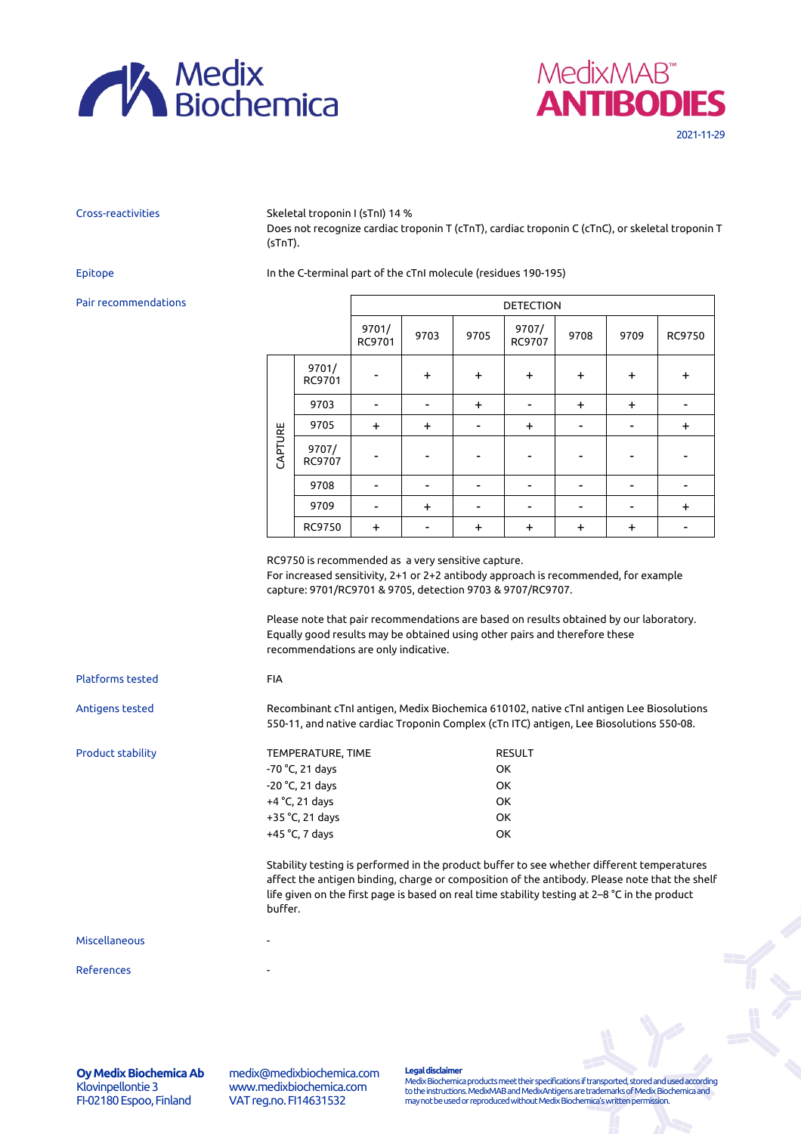



Cross-reactivities Skeletal troponin I (sTnI) 14 %

Does not recognize cardiac troponin T (cTnT), cardiac troponin C (cTnC), or skeletal troponin T (sTnT).

### Epitope In the C-terminal part of the cTnI molecule (residues 190-195)

### Pair recommendations

|         |                 | <b>DETECTION</b> |           |           |                 |           |           |           |
|---------|-----------------|------------------|-----------|-----------|-----------------|-----------|-----------|-----------|
|         |                 | 9701/<br>RC9701  | 9703      | 9705      | 9707/<br>RC9707 | 9708      | 9709      | RC9750    |
| CAPTURE | 9701/<br>RC9701 |                  | $\ddot{}$ | $+$       | $\ddot{}$       | $\ddot{}$ | $\ddot{}$ | $\ddot{}$ |
|         | 9703            |                  |           | $\ddot{}$ |                 | $\ddot{}$ | $\ddot{}$ |           |
|         | 9705            | $\ddot{}$        | $\ddot{}$ |           | $\ddot{}$       |           |           | $\ddot{}$ |
|         | 9707/<br>RC9707 |                  |           |           |                 |           |           |           |
|         | 9708            |                  |           |           |                 |           |           |           |
|         | 9709            |                  | $+$       |           |                 |           |           | $\ddot{}$ |
|         | RC9750          | $\ddot{}$        |           | $\ddot{}$ | $\ddot{}$       | $\ddot{}$ | $\ddot{}$ |           |

RC9750 is recommended as a very sensitive capture.

For increased sensitivity, 2+1 or 2+2 antibody approach is recommended, for example capture: 9701/RC9701 & 9705, detection 9703 & 9707/RC9707.

Please note that pair recommendations are based on results obtained by our laboratory. Equally good results may be obtained using other pairs and therefore these recommendations are only indicative.

| Platforms tested         | <b>FIA</b>         |                                                                                                                                                                                                                                                                                              |  |  |  |  |
|--------------------------|--------------------|----------------------------------------------------------------------------------------------------------------------------------------------------------------------------------------------------------------------------------------------------------------------------------------------|--|--|--|--|
| Antigens tested          |                    | Recombinant cTnI antigen, Medix Biochemica 610102, native cTnI antigen Lee Biosolutions<br>550-11, and native cardiac Troponin Complex (cTn ITC) antigen, Lee Biosolutions 550-08.                                                                                                           |  |  |  |  |
| <b>Product stability</b> | TEMPERATURE, TIME  | <b>RESULT</b>                                                                                                                                                                                                                                                                                |  |  |  |  |
|                          | $-70 °C$ , 21 days | OK.                                                                                                                                                                                                                                                                                          |  |  |  |  |
|                          | $-20$ °C, 21 days  | OK.                                                                                                                                                                                                                                                                                          |  |  |  |  |
|                          | $+4$ °C, 21 days   | OK.                                                                                                                                                                                                                                                                                          |  |  |  |  |
|                          | $+35$ °C, 21 days  | OK.                                                                                                                                                                                                                                                                                          |  |  |  |  |
|                          | $+45$ °C, 7 days   | OK.                                                                                                                                                                                                                                                                                          |  |  |  |  |
|                          | buffer.            | Stability testing is performed in the product buffer to see whether different temperatures<br>affect the antigen binding, charge or composition of the antibody. Please note that the shelf<br>life given on the first page is based on real time stability testing at 2–8 °C in the product |  |  |  |  |
| Miscellaneous            |                    |                                                                                                                                                                                                                                                                                              |  |  |  |  |
| References               |                    |                                                                                                                                                                                                                                                                                              |  |  |  |  |

**Oy Medix Biochemica Ab** Klovinpellontie 3 FI-02180 Espoo, Finland

medix@medixbiochemica.com www.medixbiochemica.com VAT reg.no. FI14631532

**Legal disclaimer**

Medix Biochemica products meet their specifications if transported, stored and used according to the instructions. MedixMAB and MedixAntigens are trademarks of Medix Biochemica and may not be used or reproduced without Medix Biochemica's written permission.